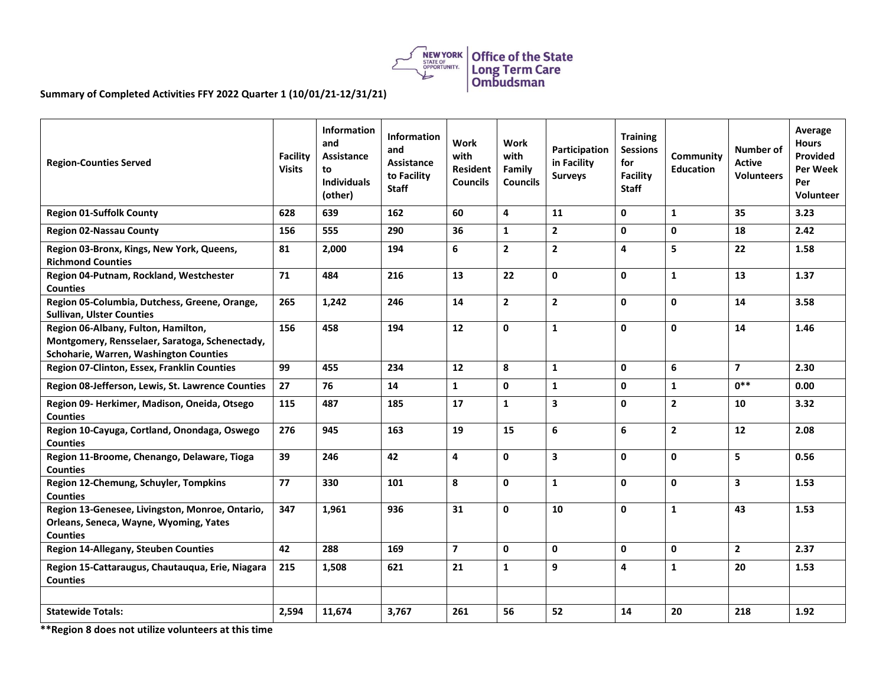

## **Summary of Completed Activities FFY 2022 Quarter 1 (10/01/21-12/31/21)**

| <b>Region-Counties Served</b>                                                                                                   | <b>Facility</b><br><b>Visits</b> | Information<br>and<br>Assistance<br>to<br><b>Individuals</b><br>(other) | Information<br>and<br>Assistance<br>to Facility<br><b>Staff</b> | Work<br>with<br><b>Resident</b><br><b>Councils</b> | Work<br>with<br>Family<br><b>Councils</b> | Participation<br>in Facility<br><b>Surveys</b> | <b>Training</b><br><b>Sessions</b><br>for<br><b>Facility</b><br><b>Staff</b> | Community<br><b>Education</b> | Number of<br>Active<br><b>Volunteers</b> | Average<br><b>Hours</b><br>Provided<br>Per Week<br>Per<br><b>Volunteer</b> |
|---------------------------------------------------------------------------------------------------------------------------------|----------------------------------|-------------------------------------------------------------------------|-----------------------------------------------------------------|----------------------------------------------------|-------------------------------------------|------------------------------------------------|------------------------------------------------------------------------------|-------------------------------|------------------------------------------|----------------------------------------------------------------------------|
| <b>Region 01-Suffolk County</b>                                                                                                 | 628                              | 639                                                                     | 162                                                             | 60                                                 | $\overline{\mathbf{4}}$                   | 11                                             | $\mathbf{0}$                                                                 | $\mathbf{1}$                  | 35                                       | 3.23                                                                       |
| <b>Region 02-Nassau County</b>                                                                                                  | 156                              | 555                                                                     | 290                                                             | 36                                                 | $\mathbf{1}$                              | $\mathbf{2}$                                   | $\mathbf 0$                                                                  | 0                             | 18                                       | 2.42                                                                       |
| Region 03-Bronx, Kings, New York, Queens,<br><b>Richmond Counties</b>                                                           | 81                               | 2,000                                                                   | 194                                                             | 6                                                  | $\overline{2}$                            | $\overline{2}$                                 | $\overline{\mathbf{4}}$                                                      | 5                             | 22                                       | 1.58                                                                       |
| Region 04-Putnam, Rockland, Westchester<br><b>Counties</b>                                                                      | 71                               | 484                                                                     | 216                                                             | 13                                                 | 22                                        | 0                                              | $\mathbf 0$                                                                  | $\mathbf{1}$                  | 13                                       | 1.37                                                                       |
| Region 05-Columbia, Dutchess, Greene, Orange,<br><b>Sullivan, Ulster Counties</b>                                               | 265                              | 1,242                                                                   | 246                                                             | 14                                                 | $\mathbf{2}$                              | $\mathbf{2}$                                   | $\mathbf 0$                                                                  | 0                             | 14                                       | 3.58                                                                       |
| Region 06-Albany, Fulton, Hamilton,<br>Montgomery, Rensselaer, Saratoga, Schenectady,<br>Schoharie, Warren, Washington Counties | 156                              | 458                                                                     | 194                                                             | 12                                                 | $\mathbf{0}$                              | $\mathbf{1}$                                   | $\mathbf 0$                                                                  | $\Omega$                      | 14                                       | 1.46                                                                       |
| Region 07-Clinton, Essex, Franklin Counties                                                                                     | 99                               | 455                                                                     | 234                                                             | 12                                                 | 8                                         | $\mathbf{1}$                                   | $\mathbf{0}$                                                                 | 6                             | $\overline{7}$                           | 2.30                                                                       |
| Region 08-Jefferson, Lewis, St. Lawrence Counties                                                                               | 27                               | 76                                                                      | 14                                                              | $\mathbf{1}$                                       | $\mathbf{0}$                              | $\mathbf{1}$                                   | $\mathbf 0$                                                                  | $\mathbf{1}$                  | $0***$                                   | 0.00                                                                       |
| Region 09- Herkimer, Madison, Oneida, Otsego<br><b>Counties</b>                                                                 | 115                              | 487                                                                     | 185                                                             | 17                                                 | $\mathbf{1}$                              | $\overline{\mathbf{3}}$                        | $\mathbf 0$                                                                  | $\mathbf{2}$                  | 10                                       | 3.32                                                                       |
| Region 10-Cayuga, Cortland, Onondaga, Oswego<br><b>Counties</b>                                                                 | 276                              | 945                                                                     | 163                                                             | 19                                                 | 15                                        | 6                                              | 6                                                                            | $\mathbf{2}$                  | 12                                       | 2.08                                                                       |
| Region 11-Broome, Chenango, Delaware, Tioga<br><b>Counties</b>                                                                  | 39                               | 246                                                                     | 42                                                              | 4                                                  | $\mathbf{0}$                              | $\overline{\mathbf{3}}$                        | $\mathbf 0$                                                                  | 0                             | 5                                        | 0.56                                                                       |
| Region 12-Chemung, Schuyler, Tompkins<br><b>Counties</b>                                                                        | 77                               | 330                                                                     | 101                                                             | 8                                                  | $\mathbf{0}$                              | $\mathbf{1}$                                   | $\mathbf{0}$                                                                 | 0                             | 3                                        | 1.53                                                                       |
| Region 13-Genesee, Livingston, Monroe, Ontario,<br>Orleans, Seneca, Wayne, Wyoming, Yates<br><b>Counties</b>                    | 347                              | 1,961                                                                   | 936                                                             | 31                                                 | $\mathbf{0}$                              | 10                                             | $\mathbf{0}$                                                                 | $\mathbf{1}$                  | 43                                       | 1.53                                                                       |
| <b>Region 14-Allegany, Steuben Counties</b>                                                                                     | 42                               | 288                                                                     | 169                                                             | $\overline{ }$                                     | $\mathbf{0}$                              | 0                                              | $\mathbf 0$                                                                  | $\mathbf{0}$                  | $\overline{2}$                           | 2.37                                                                       |
| Region 15-Cattaraugus, Chautauqua, Erie, Niagara<br><b>Counties</b>                                                             | 215                              | 1,508                                                                   | 621                                                             | 21                                                 | $\mathbf{1}$                              | 9                                              | 4                                                                            | $\mathbf{1}$                  | 20                                       | 1.53                                                                       |
|                                                                                                                                 |                                  |                                                                         |                                                                 |                                                    |                                           |                                                |                                                                              |                               |                                          |                                                                            |
| <b>Statewide Totals:</b>                                                                                                        | 2,594                            | 11,674                                                                  | 3.767                                                           | 261                                                | 56                                        | 52                                             | 14                                                                           | 20                            | 218                                      | 1.92                                                                       |

**\*\*Region 8 does not utilize volunteers at this time**